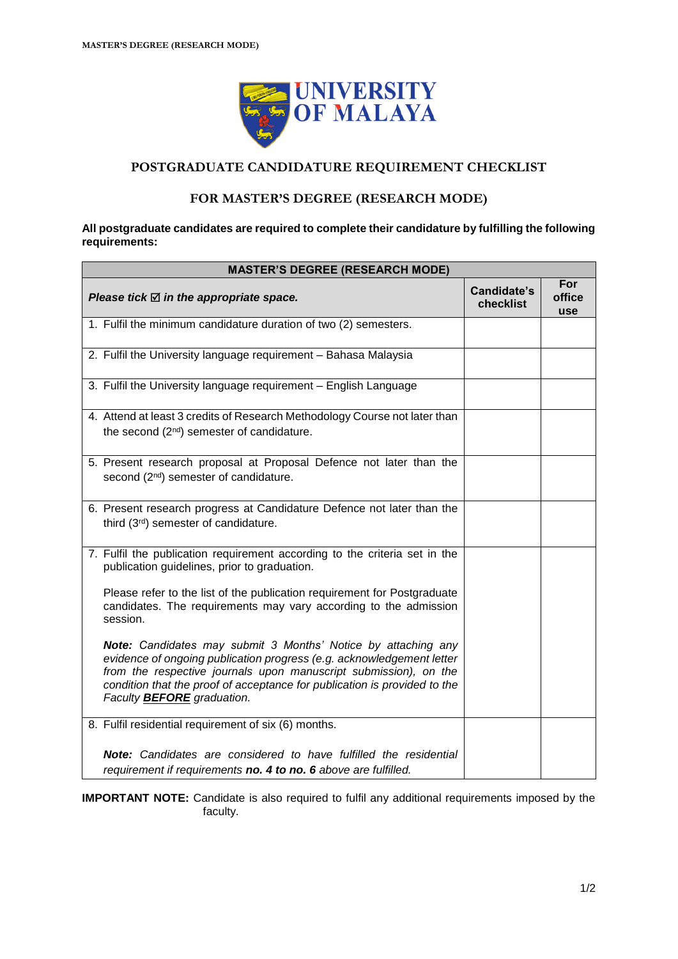

## **POSTGRADUATE CANDIDATURE REQUIREMENT CHECKLIST**

## **FOR MASTER'S DEGREE (RESEARCH MODE)**

#### **All postgraduate candidates are required to complete their candidature by fulfilling the following requirements:**

| <b>MASTER'S DEGREE (RESEARCH MODE)</b>                                                                                                                                                                                                                                                                                       |                                 |                      |  |
|------------------------------------------------------------------------------------------------------------------------------------------------------------------------------------------------------------------------------------------------------------------------------------------------------------------------------|---------------------------------|----------------------|--|
| Please tick $\boxtimes$ in the appropriate space.                                                                                                                                                                                                                                                                            | <b>Candidate's</b><br>checklist | For<br>office<br>use |  |
| 1. Fulfil the minimum candidature duration of two (2) semesters.                                                                                                                                                                                                                                                             |                                 |                      |  |
| 2. Fulfil the University language requirement - Bahasa Malaysia                                                                                                                                                                                                                                                              |                                 |                      |  |
| 3. Fulfil the University language requirement - English Language                                                                                                                                                                                                                                                             |                                 |                      |  |
| 4. Attend at least 3 credits of Research Methodology Course not later than<br>the second (2 <sup>nd</sup> ) semester of candidature.                                                                                                                                                                                         |                                 |                      |  |
| 5. Present research proposal at Proposal Defence not later than the<br>second (2 <sup>nd</sup> ) semester of candidature.                                                                                                                                                                                                    |                                 |                      |  |
| 6. Present research progress at Candidature Defence not later than the<br>third (3rd) semester of candidature.                                                                                                                                                                                                               |                                 |                      |  |
| 7. Fulfil the publication requirement according to the criteria set in the<br>publication guidelines, prior to graduation.                                                                                                                                                                                                   |                                 |                      |  |
| Please refer to the list of the publication requirement for Postgraduate<br>candidates. The requirements may vary according to the admission<br>session.                                                                                                                                                                     |                                 |                      |  |
| Note: Candidates may submit 3 Months' Notice by attaching any<br>evidence of ongoing publication progress (e.g. acknowledgement letter<br>from the respective journals upon manuscript submission), on the<br>condition that the proof of acceptance for publication is provided to the<br>Faculty <b>BEFORE</b> graduation. |                                 |                      |  |
| 8. Fulfil residential requirement of six (6) months.                                                                                                                                                                                                                                                                         |                                 |                      |  |
| <b>Note:</b> Candidates are considered to have fulfilled the residential                                                                                                                                                                                                                                                     |                                 |                      |  |
| requirement if requirements no. 4 to no. 6 above are fulfilled.                                                                                                                                                                                                                                                              |                                 |                      |  |

**IMPORTANT NOTE:** Candidate is also required to fulfil any additional requirements imposed by the faculty.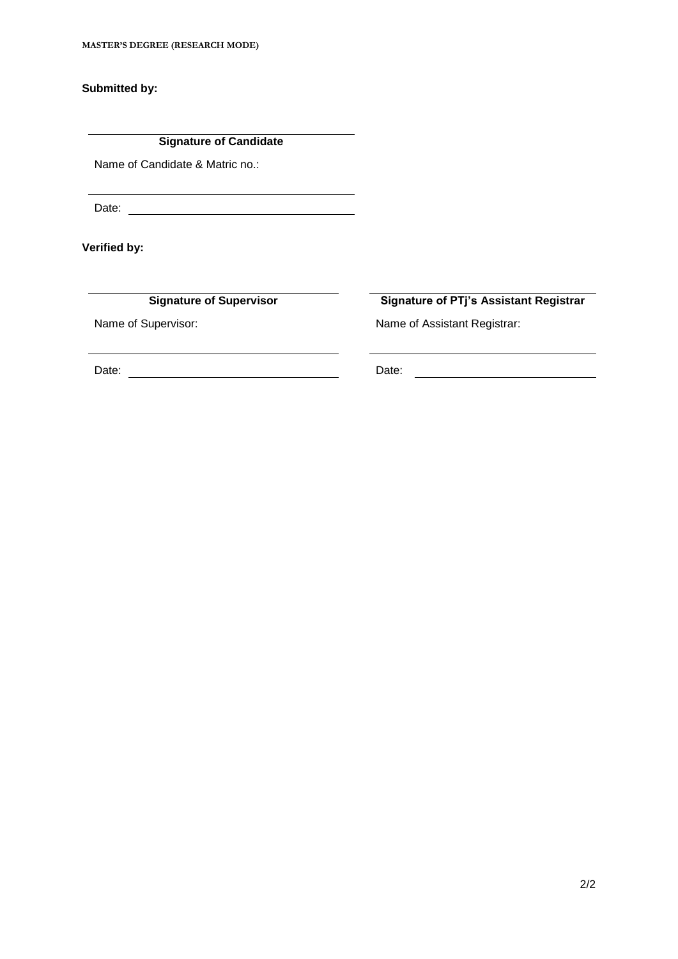**Submitted by:**

**Signature of Candidate**

Name of Candidate & Matric no.:

Date:

**Verified by:**

**Signature of Supervisor Signature of PTj's Assistant Registrar**

Name of Supervisor: Name of Assistant Registrar:

Date: Date: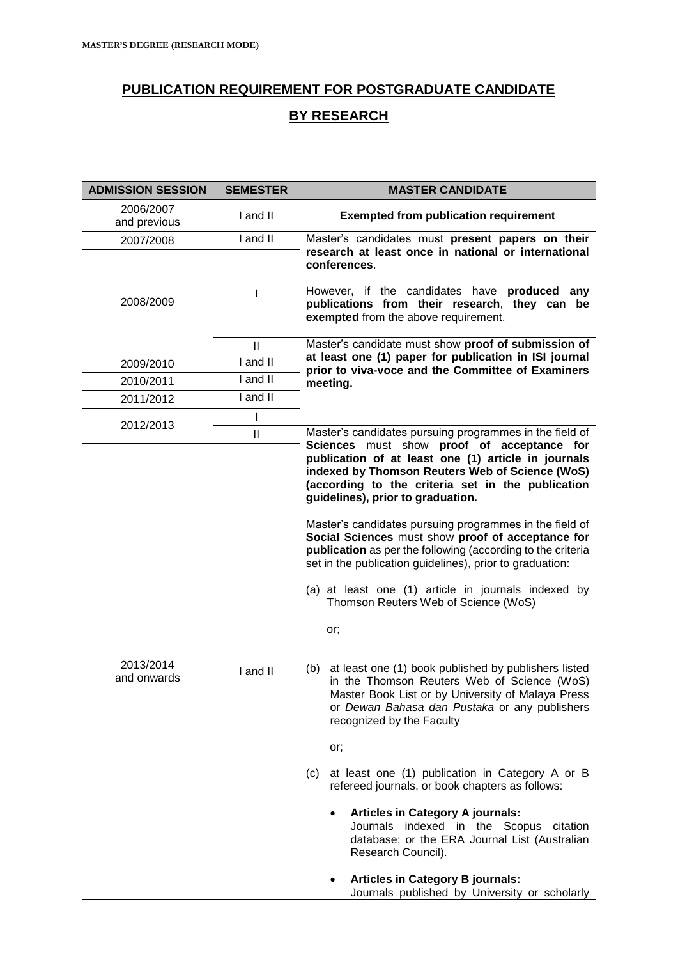# **PUBLICATION REQUIREMENT FOR POSTGRADUATE CANDIDATE BY RESEARCH**

| <b>ADMISSION SESSION</b>  | <b>SEMESTER</b> | <b>MASTER CANDIDATE</b>                                                                                                                                                                                                                                                                                                                                                                                                                                                                                                                                                                                                                                                                                                                                                                                                                                                                                                                                                                                                                                                 |  |
|---------------------------|-----------------|-------------------------------------------------------------------------------------------------------------------------------------------------------------------------------------------------------------------------------------------------------------------------------------------------------------------------------------------------------------------------------------------------------------------------------------------------------------------------------------------------------------------------------------------------------------------------------------------------------------------------------------------------------------------------------------------------------------------------------------------------------------------------------------------------------------------------------------------------------------------------------------------------------------------------------------------------------------------------------------------------------------------------------------------------------------------------|--|
| 2006/2007<br>and previous | I and II        | <b>Exempted from publication requirement</b>                                                                                                                                                                                                                                                                                                                                                                                                                                                                                                                                                                                                                                                                                                                                                                                                                                                                                                                                                                                                                            |  |
| 2007/2008                 | I and II        | Master's candidates must present papers on their                                                                                                                                                                                                                                                                                                                                                                                                                                                                                                                                                                                                                                                                                                                                                                                                                                                                                                                                                                                                                        |  |
| 2008/2009                 |                 | research at least once in national or international<br>conferences.<br>However, if the candidates have produced any<br>publications from their research, they can be<br>exempted from the above requirement.                                                                                                                                                                                                                                                                                                                                                                                                                                                                                                                                                                                                                                                                                                                                                                                                                                                            |  |
|                           | Ш               | Master's candidate must show proof of submission of                                                                                                                                                                                                                                                                                                                                                                                                                                                                                                                                                                                                                                                                                                                                                                                                                                                                                                                                                                                                                     |  |
| 2009/2010                 | I and II        | at least one (1) paper for publication in ISI journal<br>prior to viva-voce and the Committee of Examiners<br>meeting.                                                                                                                                                                                                                                                                                                                                                                                                                                                                                                                                                                                                                                                                                                                                                                                                                                                                                                                                                  |  |
| 2010/2011                 | I and II        |                                                                                                                                                                                                                                                                                                                                                                                                                                                                                                                                                                                                                                                                                                                                                                                                                                                                                                                                                                                                                                                                         |  |
| 2011/2012                 | I and II        |                                                                                                                                                                                                                                                                                                                                                                                                                                                                                                                                                                                                                                                                                                                                                                                                                                                                                                                                                                                                                                                                         |  |
|                           | I               |                                                                                                                                                                                                                                                                                                                                                                                                                                                                                                                                                                                                                                                                                                                                                                                                                                                                                                                                                                                                                                                                         |  |
| 2012/2013                 | $\mathbf{II}$   | Master's candidates pursuing programmes in the field of<br>Sciences must show proof of acceptance for                                                                                                                                                                                                                                                                                                                                                                                                                                                                                                                                                                                                                                                                                                                                                                                                                                                                                                                                                                   |  |
| 2013/2014<br>and onwards  | I and II        | publication of at least one (1) article in journals<br>indexed by Thomson Reuters Web of Science (WoS)<br>(according to the criteria set in the publication<br>guidelines), prior to graduation.<br>Master's candidates pursuing programmes in the field of<br>Social Sciences must show proof of acceptance for<br>publication as per the following (according to the criteria<br>set in the publication guidelines), prior to graduation:<br>(a) at least one (1) article in journals indexed by<br>Thomson Reuters Web of Science (WoS)<br>or;<br>(b) at least one (1) book published by publishers listed<br>in the Thomson Reuters Web of Science (WoS)<br>Master Book List or by University of Malaya Press<br>or Dewan Bahasa dan Pustaka or any publishers<br>recognized by the Faculty<br>or;<br>at least one (1) publication in Category A or B<br>(c)<br>refereed journals, or book chapters as follows:<br><b>Articles in Category A journals:</b><br>$\bullet$<br>Journals indexed in the Scopus citation<br>database; or the ERA Journal List (Australian |  |
|                           |                 | <b>Articles in Category B journals:</b><br>Journals published by University or scholarly                                                                                                                                                                                                                                                                                                                                                                                                                                                                                                                                                                                                                                                                                                                                                                                                                                                                                                                                                                                |  |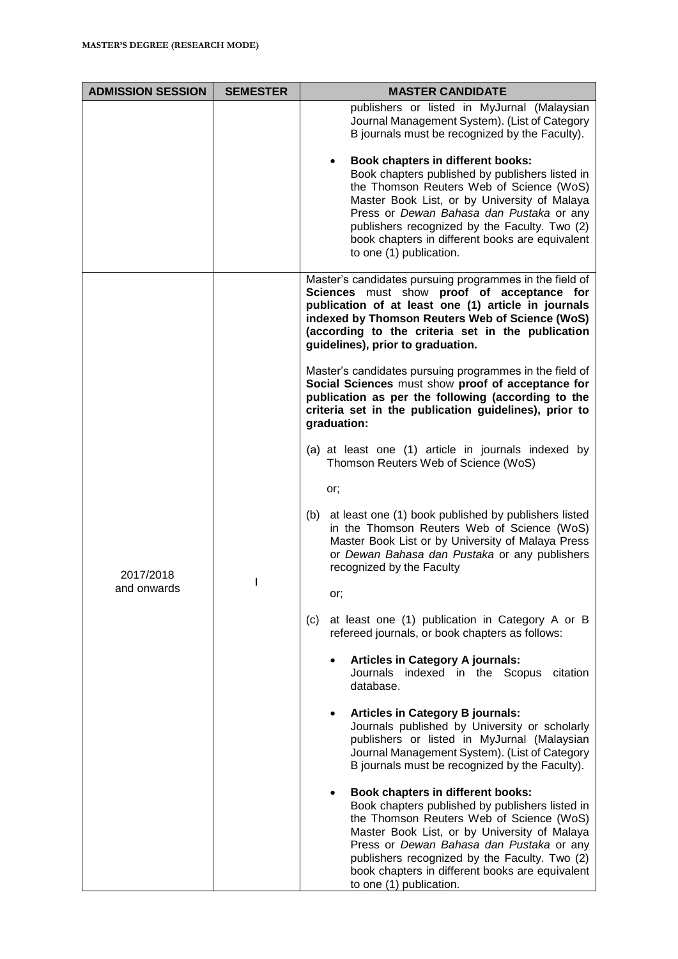| <b>ADMISSION SESSION</b> | <b>SEMESTER</b> | <b>MASTER CANDIDATE</b>                                                                                                                                                                                                                                                                                                                                     |  |
|--------------------------|-----------------|-------------------------------------------------------------------------------------------------------------------------------------------------------------------------------------------------------------------------------------------------------------------------------------------------------------------------------------------------------------|--|
|                          |                 | publishers or listed in MyJurnal (Malaysian<br>Journal Management System). (List of Category<br>B journals must be recognized by the Faculty).                                                                                                                                                                                                              |  |
|                          |                 | Book chapters in different books:<br>Book chapters published by publishers listed in<br>the Thomson Reuters Web of Science (WoS)<br>Master Book List, or by University of Malaya<br>Press or Dewan Bahasa dan Pustaka or any<br>publishers recognized by the Faculty. Two (2)<br>book chapters in different books are equivalent<br>to one (1) publication. |  |
| 2017/2018                |                 | Master's candidates pursuing programmes in the field of<br>Sciences must show proof of acceptance for<br>publication of at least one (1) article in journals<br>indexed by Thomson Reuters Web of Science (WoS)<br>(according to the criteria set in the publication<br>guidelines), prior to graduation.                                                   |  |
|                          |                 | Master's candidates pursuing programmes in the field of<br>Social Sciences must show proof of acceptance for<br>publication as per the following (according to the<br>criteria set in the publication guidelines), prior to<br>graduation:                                                                                                                  |  |
|                          |                 | (a) at least one (1) article in journals indexed by<br>Thomson Reuters Web of Science (WoS)                                                                                                                                                                                                                                                                 |  |
|                          |                 | or;                                                                                                                                                                                                                                                                                                                                                         |  |
|                          |                 | at least one (1) book published by publishers listed<br>(b)<br>in the Thomson Reuters Web of Science (WoS)<br>Master Book List or by University of Malaya Press<br>or Dewan Bahasa dan Pustaka or any publishers<br>recognized by the Faculty                                                                                                               |  |
| and onwards              |                 | or;                                                                                                                                                                                                                                                                                                                                                         |  |
|                          |                 | at least one (1) publication in Category A or B<br>(c)<br>refereed journals, or book chapters as follows:                                                                                                                                                                                                                                                   |  |
|                          |                 | <b>Articles in Category A journals:</b><br>Journals indexed in the Scopus<br>citation<br>database.                                                                                                                                                                                                                                                          |  |
|                          |                 | <b>Articles in Category B journals:</b><br>٠<br>Journals published by University or scholarly<br>publishers or listed in MyJurnal (Malaysian<br>Journal Management System). (List of Category<br>B journals must be recognized by the Faculty).                                                                                                             |  |
|                          |                 | Book chapters in different books:<br>Book chapters published by publishers listed in<br>the Thomson Reuters Web of Science (WoS)<br>Master Book List, or by University of Malaya<br>Press or Dewan Bahasa dan Pustaka or any<br>publishers recognized by the Faculty. Two (2)<br>book chapters in different books are equivalent<br>to one (1) publication. |  |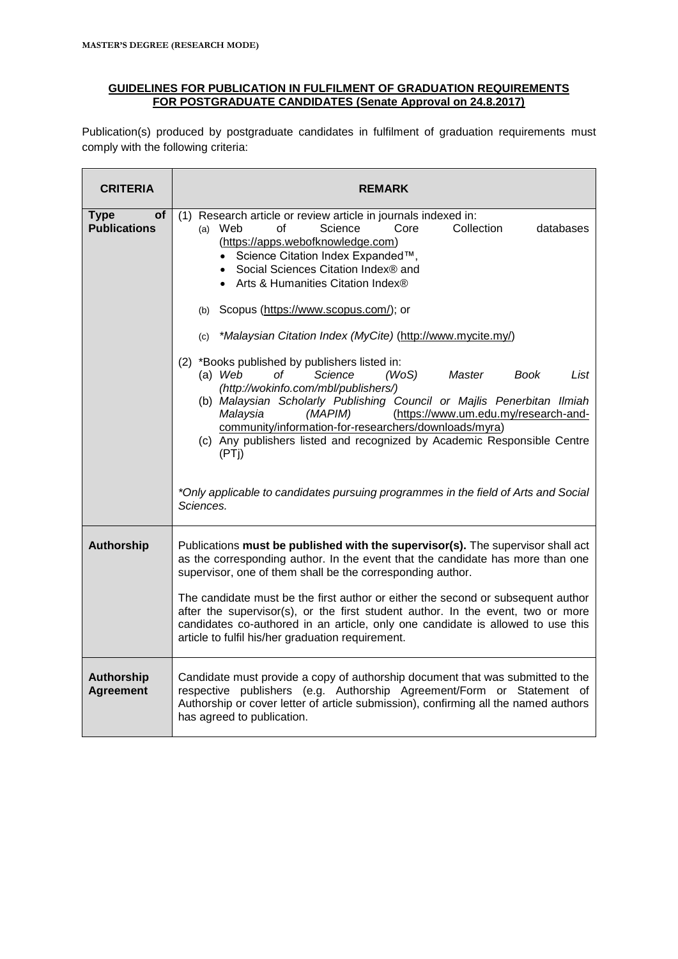### **GUIDELINES FOR PUBLICATION IN FULFILMENT OF GRADUATION REQUIREMENTS FOR POSTGRADUATE CANDIDATES (Senate Approval on 24.8.2017)**

Publication(s) produced by postgraduate candidates in fulfilment of graduation requirements must comply with the following criteria:

| <b>CRITERIA</b>                          | <b>REMARK</b>                                                                                                                                                                                                                                                                                                                                                                                                                                                                                                                                                                                                                                                                                                                                                                                                                                                                                                                                                                |  |
|------------------------------------------|------------------------------------------------------------------------------------------------------------------------------------------------------------------------------------------------------------------------------------------------------------------------------------------------------------------------------------------------------------------------------------------------------------------------------------------------------------------------------------------------------------------------------------------------------------------------------------------------------------------------------------------------------------------------------------------------------------------------------------------------------------------------------------------------------------------------------------------------------------------------------------------------------------------------------------------------------------------------------|--|
| <b>Type</b><br>of<br><b>Publications</b> | (1) Research article or review article in journals indexed in:<br>Science<br>$(a)$ Web<br>Ωf<br>Core<br>Collection<br>databases<br>(https://apps.webofknowledge.com)<br>• Science Citation Index Expanded™,<br>• Social Sciences Citation Index® and<br>• Arts & Humanities Citation Index®<br>(b) Scopus (https://www.scopus.com/); or<br>*Malaysian Citation Index (MyCite) (http://www.mycite.my/)<br>(c)<br>(2) *Books published by publishers listed in:<br>$(a)$ Web<br>Science<br>(WoS)<br>List<br>of<br>Master<br>Book<br>(http://wokinfo.com/mbl/publishers/)<br>(b) Malaysian Scholarly Publishing Council or Majlis Penerbitan Ilmiah<br>(https://www.um.edu.my/research-and-<br>Malaysia<br>(MAPIM)<br>community/information-for-researchers/downloads/myra)<br>(c) Any publishers listed and recognized by Academic Responsible Centre<br>(PT <sub>i</sub> )<br>*Only applicable to candidates pursuing programmes in the field of Arts and Social<br>Sciences. |  |
| <b>Authorship</b>                        | Publications must be published with the supervisor(s). The supervisor shall act<br>as the corresponding author. In the event that the candidate has more than one<br>supervisor, one of them shall be the corresponding author.<br>The candidate must be the first author or either the second or subsequent author<br>after the supervisor(s), or the first student author. In the event, two or more<br>candidates co-authored in an article, only one candidate is allowed to use this<br>article to fulfil his/her graduation requirement.                                                                                                                                                                                                                                                                                                                                                                                                                               |  |
| <b>Authorship</b><br><b>Agreement</b>    | Candidate must provide a copy of authorship document that was submitted to the<br>respective publishers (e.g. Authorship Agreement/Form or Statement of<br>Authorship or cover letter of article submission), confirming all the named authors<br>has agreed to publication.                                                                                                                                                                                                                                                                                                                                                                                                                                                                                                                                                                                                                                                                                                 |  |